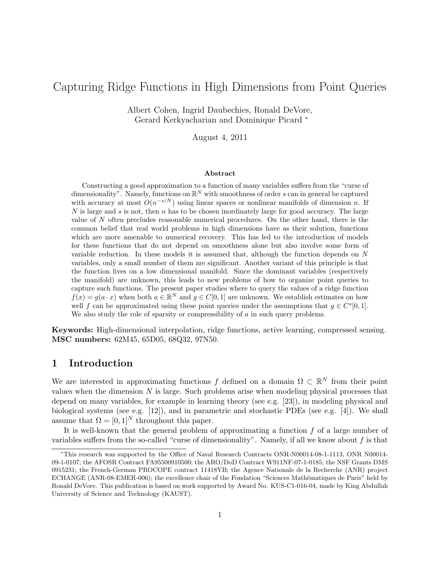# Capturing Ridge Functions in High Dimensions from Point Queries

Albert Cohen, Ingrid Daubechies, Ronald DeVore, Gerard Kerkyacharian and Dominique Picard <sup>∗</sup>

August 4, 2011

#### Abstract

Constructing a good approximation to a function of many variables suffers from the "curse of dimensionality". Namely, functions on  $\mathbb{R}^N$  with smoothness of order s can in general be captured with accuracy at most  $O(n^{-s/N})$  using linear spaces or nonlinear manifolds of dimension n. If N is large and s is not, then  $n$  has to be chosen inordinately large for good accuracy. The large value of N often precludes reasonable numerical procedures. On the other hand, there is the common belief that real world problems in high dimensions have as their solution, functions which are more amenable to numerical recovery. This has led to the introduction of models for these functions that do not depend on smoothness alone but also involve some form of variable reduction. In these models it is assumed that, although the function depends on N variables, only a small number of them are significant. Another variant of this principle is that the function lives on a low dimensional manifold. Since the dominant variables (respectively the manifold) are unknown, this leads to new problems of how to organize point queries to capture such functions. The present paper studies where to query the values of a ridge function  $f(x) = g(a \cdot x)$  when both  $a \in \mathbb{R}^N$  and  $g \in C[0,1]$  are unknown. We establish estimates on how well f can be approximated using these point queries under the assumptions that  $g \in C^{s}[0,1]$ . We also study the role of sparsity or compressibility of a in such query problems.

Keywords: High-dimensional interpolation, ridge functions, active learning, compressed sensing. MSC numbers: 62M45, 65D05, 68Q32, 97N50.

## 1 Introduction

We are interested in approximating functions f defined on a domain  $\Omega \subset \mathbb{R}^N$  from their point values when the dimension  $N$  is large. Such problems arise when modeling physical processes that depend on many variables, for example in learning theory (see e.g. [23]), in modeling physical and biological systems (see e.g. [12]), and in parametric and stochastic PDEs (see e.g. [4]). We shall assume that  $\Omega = [0, 1]^N$  throughout this paper.

It is well-known that the general problem of approximating a function  $f$  of a large number of variables suffers from the so-called "curse of dimensionality". Namely, if all we know about f is that

<sup>∗</sup>This research was supported by the Office of Naval Research Contracts ONR-N00014-08-1-1113, ONR N00014- 09-1-0107; the AFOSR Contract FA95500910500; the ARO/DoD Contract W911NF-07-1-0185; the NSF Grants DMS 0915231; the French-German PROCOPE contract 11418YB; the Agence Nationale de la Recherche (ANR) project ECHANGE (ANR-08-EMER-006); the excellence chair of the Fondation "Sciences Mathématiques de Paris" held by Ronald DeVore. This publication is based on work supported by Award No. KUS-C1-016-04, made by King Abdullah University of Science and Technology (KAUST).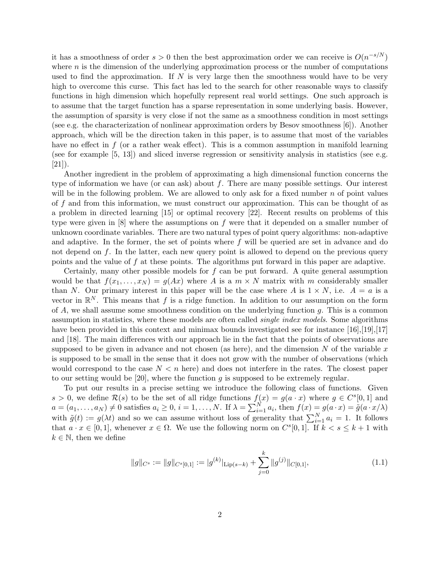it has a smoothness of order  $s > 0$  then the best approximation order we can receive is  $O(n^{-s/N})$ where  $n$  is the dimension of the underlying approximation process or the number of computations used to find the approximation. If  $N$  is very large then the smoothness would have to be very high to overcome this curse. This fact has led to the search for other reasonable ways to classify functions in high dimension which hopefully represent real world settings. One such approach is to assume that the target function has a sparse representation in some underlying basis. However, the assumption of sparsity is very close if not the same as a smoothness condition in most settings (see e.g. the characterization of nonlinear approximation orders by Besov smoothness [6]). Another approach, which will be the direction taken in this paper, is to assume that most of the variables have no effect in  $f$  (or a rather weak effect). This is a common assumption in manifold learning (see for example [5, 13]) and sliced inverse regression or sensitivity analysis in statistics (see e.g.  $[21]$ ).

Another ingredient in the problem of approximating a high dimensional function concerns the type of information we have (or can ask) about f. There are many possible settings. Our interest will be in the following problem. We are allowed to only ask for a fixed number  $n$  of point values of f and from this information, we must construct our approximation. This can be thought of as a problem in directed learning [15] or optimal recovery [22]. Recent results on problems of this type were given in  $[8]$  where the assumptions on f were that it depended on a smaller number of unknown coordinate variables. There are two natural types of point query algorithms: non-adaptive and adaptive. In the former, the set of points where  $f$  will be queried are set in advance and do not depend on  $f$ . In the latter, each new query point is allowed to depend on the previous query points and the value of f at these points. The algorithms put forward in this paper are adaptive.

Certainly, many other possible models for  $f$  can be put forward. A quite general assumption would be that  $f(x_1, \ldots, x_N) = g(Ax)$  where A is a  $m \times N$  matrix with m considerably smaller than N. Our primary interest in this paper will be the case where A is  $1 \times N$ , i.e.  $A = a$  is a vector in  $\mathbb{R}^N$ . This means that f is a ridge function. In addition to our assumption on the form of  $A$ , we shall assume some smoothness condition on the underlying function  $q$ . This is a common assumption in statistics, where these models are often called *single index models*. Some algorithms have been provided in this context and minimax bounds investigated see for instance [16], [19], [17] and [18]. The main differences with our approach lie in the fact that the points of observations are supposed to be given in advance and not chosen (as here), and the dimension N of the variable  $x$ is supposed to be small in the sense that it does not grow with the number of observations (which would correspond to the case  $N < n$  here) and does not interfere in the rates. The closest paper to our setting would be  $[20]$ , where the function g is supposed to be extremely regular.

To put our results in a precise setting we introduce the following class of functions. Given  $s > 0$ , we define  $\mathcal{R}(s)$  to be the set of all ridge functions  $f(x) = g(a \cdot x)$  where  $g \in C^{s}[0,1]$  and  $a = (a_1, \ldots, a_N) \neq 0$  satisfies  $a_i \geq 0$ ,  $i = 1, \ldots, N$ . If  $\lambda = \sum_{i=1}^N a_i$ , then  $f(x) = g(a \cdot x) = \tilde{g}(a \cdot x/\lambda)$ with  $\tilde{g}(t) := g(\lambda t)$  and so we can assume without loss of generality that  $\sum_{i=1}^{N} a_i = 1$ . It follows that  $a \cdot x \in [0,1]$ , whenever  $x \in \Omega$ . We use the following norm on  $C^{s}[0,1]$ . If  $k < s \leq k+1$  with  $k \in \mathbb{N}$ , then we define

$$
||g||_{C^s} := ||g||_{C^s[0,1]} := |g^{(k)}|_{\text{Lip}(s-k)} + \sum_{j=0}^k ||g^{(j)}||_{C[0,1]},
$$
\n(1.1)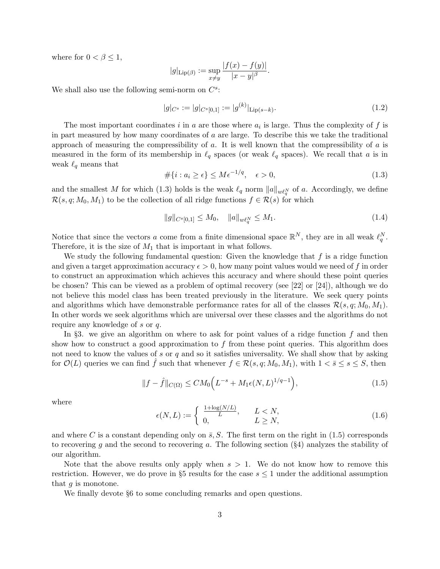where for  $0 < \beta \leq 1$ ,

$$
|g|_{\text{Lip}(\beta)} := \sup_{x \neq y} \frac{|f(x) - f(y)|}{|x - y|^{\beta}}.
$$

We shall also use the following semi-norm on  $C^s$ :

$$
|g|_{C^s} := |g|_{C^s[0,1]} := |g^{(k)}|_{\text{Lip}(s-k)}.
$$
\n(1.2)

The most important coordinates i in a are those where  $a_i$  is large. Thus the complexity of f is in part measured by how many coordinates of a are large. To describe this we take the traditional approach of measuring the compressibility of  $a$ . It is well known that the compressibility of  $a$  is measured in the form of its membership in  $\ell_q$  spaces (or weak  $\ell_q$  spaces). We recall that a is in weak  $\ell_q$  means that

$$
\#\{i : a_i \ge \epsilon\} \le M\epsilon^{-1/q}, \quad \epsilon > 0,
$$
\n
$$
(1.3)
$$

and the smallest M for which (1.3) holds is the weak  $\ell_q$  norm  $||a||_{w\ell_q^N}$  of a. Accordingly, we define  $\mathcal{R}(s, q; M_0, M_1)$  to be the collection of all ridge functions  $f \in \mathcal{R}(s)$  for which

$$
||g||_{C^{s}[0,1]} \le M_0, \quad ||a||_{w\ell_q^N} \le M_1. \tag{1.4}
$$

Notice that since the vectors a come from a finite dimensional space  $\mathbb{R}^N$ , they are in all weak  $\ell_q^N$ . Therefore, it is the size of  $M_1$  that is important in what follows.

We study the following fundamental question: Given the knowledge that  $f$  is a ridge function and given a target approximation accuracy  $\epsilon > 0$ , how many point values would we need of f in order to construct an approximation which achieves this accuracy and where should these point queries be chosen? This can be viewed as a problem of optimal recovery (see [22] or [24]), although we do not believe this model class has been treated previously in the literature. We seek query points and algorithms which have demonstrable performance rates for all of the classes  $\mathcal{R}(s, q; M_0, M_1)$ . In other words we seek algorithms which are universal over these classes and the algorithms do not require any knowledge of s or q.

In §3. we give an algorithm on where to ask for point values of a ridge function  $f$  and then show how to construct a good approximation to  $f$  from these point queries. This algorithm does not need to know the values of s or q and so it satisfies universality. We shall show that by asking for  $\mathcal{O}(L)$  queries we can find f such that whenever  $f \in \mathcal{R}(s,q;M_0,M_1)$ , with  $1 < \bar{s} \leq s \leq S$ , then

$$
||f - \hat{f}||_{C(\Omega)} \le CM_0 \Big( L^{-s} + M_1 \epsilon(N, L)^{1/q - 1} \Big), \tag{1.5}
$$

where

$$
\epsilon(N, L) := \begin{cases} \frac{1 + \log(N/L)}{L}, & L < N, \\ 0, & L \ge N, \end{cases} \tag{1.6}
$$

and where C is a constant depending only on  $\bar{s}$ , S. The first term on the right in (1.5) corresponds to recovering g and the second to recovering a. The following section  $(\S 4)$  analyzes the stability of our algorithm.

Note that the above results only apply when  $s > 1$ . We do not know how to remove this restriction. However, we do prove in §5 results for the case  $s \leq 1$  under the additional assumption that  $g$  is monotone.

We finally devote  $\S6$  to some concluding remarks and open questions.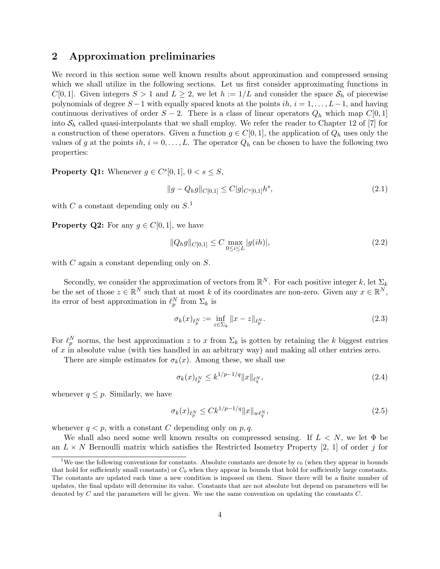## 2 Approximation preliminaries

We record in this section some well known results about approximation and compressed sensing which we shall utilize in the following sections. Let us first consider approximating functions in  $C[0, 1]$ . Given integers  $S > 1$  and  $L \geq 2$ , we let  $h := 1/L$  and consider the space  $S_h$  of piecewise polynomials of degree  $S-1$  with equally spaced knots at the points  $ih, i = 1, \ldots, L-1$ , and having continuous derivatives of order  $S - 2$ . There is a class of linear operators  $Q_h$  which map  $C[0, 1]$ into  $S_h$  called quasi-interpolants that we shall employ. We refer the reader to Chapter 12 of [7] for a construction of these operators. Given a function  $g \in C[0, 1]$ , the application of  $Q_h$  uses only the values of g at the points ih,  $i = 0, \ldots, L$ . The operator  $Q_h$  can be chosen to have the following two properties:

**Property Q1:** Whenever  $g \in C^{s}[0,1], 0 < s \leq S$ ,

$$
||g - Q_h g||_{C[0,1]} \le C|g|_{C^s[0,1]}h^s,
$$
\n(2.1)

with C a constant depending only on  $S^1$ .

**Property Q2:** For any  $g \in C[0,1]$ , we have

$$
||Q_h g||_{C[0,1]} \le C \max_{0 \le i \le L} |g(ih)|,\tag{2.2}
$$

with C again a constant depending only on S.

Secondly, we consider the approximation of vectors from  $\mathbb{R}^N$ . For each positive integer k, let  $\Sigma_k$ be the set of those  $z \in \mathbb{R}^N$  such that at most k of its coordinates are non-zero. Given any  $x \in \mathbb{R}^N$ , its error of best approximation in  $\ell_p^N$  from  $\Sigma_k$  is

$$
\sigma_k(x)_{\ell_p^N} := \inf_{z \in \Sigma_k} \|x - z\|_{\ell_p^N}.
$$
\n(2.3)

For  $\ell_p^N$  norms, the best approximation z to x from  $\Sigma_k$  is gotten by retaining the k biggest entries of x in absolute value (with ties handled in an arbitrary way) and making all other entries zero.

There are simple estimates for  $\sigma_k(x)$ . Among these, we shall use

$$
\sigma_k(x)_{\ell_p^N} \le k^{1/p - 1/q} \|x\|_{\ell_q^N},\tag{2.4}
$$

whenever  $q \leq p$ . Similarly, we have

$$
\sigma_k(x)_{\ell_p^N} \le C k^{1/p - 1/q} \|x\|_{w\ell_q^N},\tag{2.5}
$$

whenever  $q < p$ , with a constant C depending only on p, q.

We shall also need some well known results on compressed sensing. If  $L < N$ , we let  $\Phi$  be an  $L \times N$  Bernoulli matrix which satisfies the Restricted Isometry Property [2, 1] of order j for

<sup>&</sup>lt;sup>1</sup>We use the following conventions for constants. Absolute constants are denote by  $c_0$  (when they appear in bounds that hold for sufficiently small constants) or  $C_0$  when they appear in bounds that hold for sufficiently large constants. The constants are updated each time a new condition is imposed on them. Since there will be a finite number of updates, the final update will determine its value. Constants that are not absolute but depend on parameters will be denoted by  $C$  and the parameters will be given. We use the same convention on updating the constants  $C$ .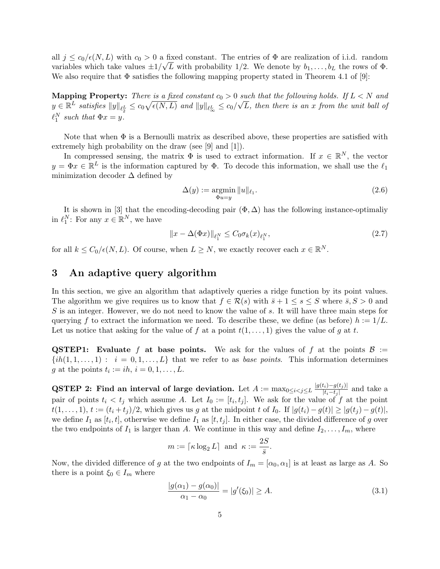all  $j \leq c_0/\epsilon(N,L)$  with  $c_0 > 0$  a fixed constant. The entries of  $\Phi$  are realization of i.i.d. random variables which take values  $\pm 1/\sqrt{L}$  with probability 1/2. We denote by  $b_1, \ldots, b_L$  the rows of  $\Phi$ . We also require that  $\Phi$  satisfies the following mapping property stated in Theorem 4.1 of [9]:

**Mapping Property:** There is a fixed constant  $c_0 > 0$  such that the following holds. If  $L < N$  and  $y \in \mathbb{R}^L$  satisfies  $||y||_{\ell_{2}^L} \leq c_0\sqrt{\epsilon(N,L)}$  and  $||y||_{\ell_{\infty}^L} \leq c_0/\sqrt{L}$ , then there is an x from the unit ball of  $\ell_1^N$  such that  $\Phi x = y$ .

Note that when  $\Phi$  is a Bernoulli matrix as described above, these properties are satisfied with extremely high probability on the draw (see [9] and [1]).

In compressed sensing, the matrix  $\Phi$  is used to extract information. If  $x \in \mathbb{R}^N$ , the vector  $y = \Phi x \in \mathbb{R}^L$  is the information captured by  $\Phi$ . To decode this information, we shall use the  $\ell_1$ minimization decoder  $\Delta$  defined by

$$
\Delta(y) := \underset{\Phi u = y}{\operatorname{argmin}} \|u\|_{\ell_1}.\tag{2.6}
$$

It is shown in [3] that the encoding-decoding pair  $(\Phi, \Delta)$  has the following instance-optimaliy in  $\ell_1^N$ : For any  $x \in \mathbb{R}^N$ , we have

$$
||x - \Delta(\Phi x)||_{\ell_1^N} \le C_0 \sigma_k(x)_{\ell_1^N},\tag{2.7}
$$

for all  $k \leq C_0/\epsilon(N, L)$ . Of course, when  $L \geq N$ , we exactly recover each  $x \in \mathbb{R}^N$ .

### 3 An adaptive query algorithm

In this section, we give an algorithm that adaptively queries a ridge function by its point values. The algorithm we give requires us to know that  $f \in \mathcal{R}(s)$  with  $\overline{s} + 1 \leq s \leq S$  where  $\overline{s}, S > 0$  and S is an integer. However, we do not need to know the value of s. It will have three main steps for querying f to extract the information we need. To describe these, we define (as before)  $h := 1/L$ . Let us notice that asking for the value of f at a point  $t(1,\ldots,1)$  gives the value of g at t.

**QSTEP1:** Evaluate f at base points. We ask for the values of f at the points  $\mathcal{B}$  :=  $\{ih(1, 1, \ldots, 1) : i = 0, 1, \ldots, L\}$  that we refer to as base points. This information determines g at the points  $t_i := ih, i = 0, 1, \ldots, L$ .

**QSTEP 2:** Find an interval of large deviation. Let  $A := \max_{0 \le i < j \le L} \frac{|g(t_i) - g(t_j)|}{|t_i - t_j|}$  $\frac{\mu_i - g(t_j)}{|t_i - t_j|}$  and take a pair of points  $t_i < t_j$  which assume A. Let  $I_0 := [t_i, t_j]$ . We ask for the value of f at the point  $t(1,\ldots,1), t := (t_i + t_j)/2$ , which gives us g at the midpoint t of I<sub>0</sub>. If  $|g(t_i) - g(t)| \geq |g(t_j) - g(t)|$ , we define  $I_1$  as  $[t_i, t]$ , otherwise we define  $I_1$  as  $[t, t_j]$ . In either case, the divided difference of g over the two endpoints of  $I_1$  is larger than A. We continue in this way and define  $I_2, \ldots, I_m$ , where

$$
m := \lceil \kappa \log_2 L \rceil
$$
 and  $\kappa := \frac{2S}{\overline{s}}$ .

Now, the divided difference of g at the two endpoints of  $I_m = [\alpha_0, \alpha_1]$  is at least as large as A. So there is a point  $\xi_0 \in I_m$  where

$$
\frac{|g(\alpha_1) - g(\alpha_0)|}{\alpha_1 - \alpha_0} = |g'(\xi_0)| \ge A.
$$
\n(3.1)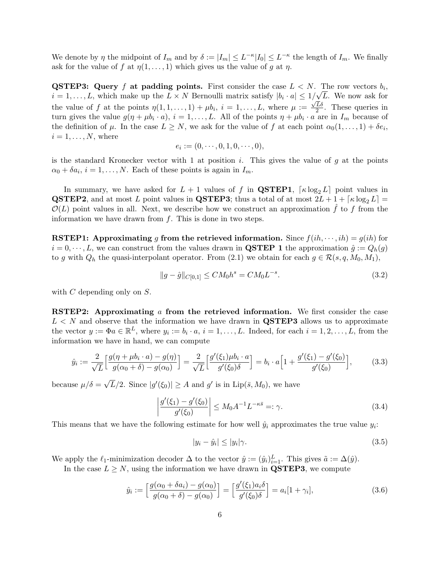We denote by  $\eta$  the midpoint of  $I_m$  and by  $\delta := |I_m| \leq L^{-\kappa} |I_0| \leq L^{-\kappa}$  the length of  $I_m$ . We finally ask for the value of f at  $\eta(1,\ldots,1)$  which gives us the value of g at  $\eta$ .

**QSTEP3:** Query f at padding points. First consider the case  $L < N$ . The row vectors  $b_i$ ,  $i = 1, \ldots, L$ , which make up the  $L \times N$  Bernoulli matrix satisfy  $|b_i \cdot a| \leq 1/\sqrt{L}$ . We now ask for the value of f at the points  $\eta(1,1,\ldots,1)+\mu b_i$ ,  $i=1,\ldots,L$ , where  $\mu:=\frac{\sqrt{L}\delta}{2}$  $\frac{L\delta}{2}$ . These queries in turn gives the value  $g(\eta + \mu b_i \cdot a), i = 1, ..., L$ . All of the points  $\eta + \mu b_i \cdot a$  are in  $I_m$  because of the definition of  $\mu$ . In the case  $L \geq N$ , we ask for the value of f at each point  $\alpha_0(1,\ldots,1) + \delta e_i$ ,  $i = 1, \ldots, N$ , where

$$
e_i := (0, \cdots, 0, 1, 0, \cdots, 0),
$$

is the standard Kronecker vector with 1 at position i. This gives the value of  $g$  at the points  $\alpha_0 + \delta a_i$ ,  $i = 1, ..., N$ . Each of these points is again in  $I_m$ .

In summary, we have asked for  $L + 1$  values of f in **QSTEP1**,  $\lceil \kappa \log_2 L \rceil$  point values in **QSTEP2**, and at most L point values in **QSTEP3**; thus a total of at most  $2L + 1 + \lceil \kappa \log_2 L \rceil =$  $\mathcal{O}(L)$  point values in all. Next, we describe how we construct an approximation  $\hat{f}$  to f from the information we have drawn from  $f$ . This is done in two steps.

**RSTEP1:** Approximating g from the retrieved information. Since  $f(ih, \dots, ih) = g(ih)$  for  $i = 0, \dots, L$ , we can construct from the values drawn in **QSTEP 1** the approximation  $\hat{g} := Q_h(g)$ to g with  $Q_h$  the quasi-interpolant operator. From (2.1) we obtain for each  $g \in \mathcal{R}(s, q, M_0, M_1)$ ,

$$
||g - \hat{g}||_{C[0,1]} \le CM_0 h^s = CM_0 L^{-s}.
$$
\n(3.2)

with  $C$  depending only on  $S$ .

**RSTEP2:** Approximating  $\alpha$  from the retrieved information. We first consider the case  $L < N$  and observe that the information we have drawn in **QSTEP3** allows us to approximate the vector  $y := \Phi a \in \mathbb{R}^L$ , where  $y_i := b_i \cdot a, i = 1, \ldots, L$ . Indeed, for each  $i = 1, 2, \ldots, L$ , from the information we have in hand, we can compute

$$
\hat{y}_i := \frac{2}{\sqrt{L}} \left[ \frac{g(\eta + \mu b_i \cdot a) - g(\eta)}{g(\alpha_0 + \delta) - g(\alpha_0)} \right] = \frac{2}{\sqrt{L}} \left[ \frac{g'(\xi_1)\mu b_i \cdot a}{g'(\xi_0)\delta} \right] = b_i \cdot a \left[ 1 + \frac{g'(\xi_1) - g'(\xi_0)}{g'(\xi_0)} \right],\tag{3.3}
$$

because  $\mu/\delta =$ √  $\overline{L}/2$ . Since  $|g'(\xi_0)| \geq A$  and  $g'$  is in  $\text{Lip}(\overline{s}, M_0)$ , we have

$$
\left| \frac{g'(\xi_1) - g'(\xi_0)}{g'(\xi_0)} \right| \le M_0 A^{-1} L^{-\kappa \bar{s}} =: \gamma.
$$
 (3.4)

This means that we have the following estimate for how well  $\hat{y}_i$  approximates the true value  $y_i$ :

$$
|y_i - \hat{y}_i| \le |y_i|\gamma. \tag{3.5}
$$

We apply the  $\ell_1$ -minimization decoder  $\Delta$  to the vector  $\hat{y} := (\hat{y}_i)_{i=1}^L$ . This gives  $\tilde{a} := \Delta(\hat{y})$ .

In the case  $L \geq N$ , using the information we have drawn in **QSTEP3**, we compute

$$
\hat{y}_i := \left[ \frac{g(\alpha_0 + \delta a_i) - g(\alpha_0)}{g(\alpha_0 + \delta) - g(\alpha_0)} \right] = \left[ \frac{g'(\xi_1) a_i \delta}{g'(\xi_0) \delta} \right] = a_i [1 + \gamma_i],
$$
\n(3.6)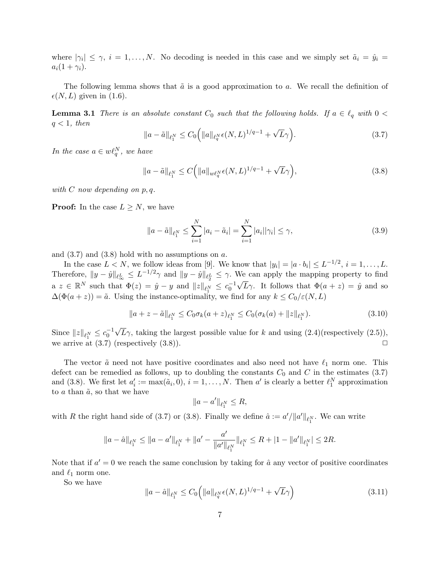where  $|\gamma_i| \leq \gamma$ ,  $i = 1, \ldots, N$ . No decoding is needed in this case and we simply set  $\tilde{a}_i = \hat{y}_i =$  $a_i(1+\gamma_i)$ .

The following lemma shows that  $\tilde{a}$  is a good approximation to a. We recall the definition of  $\epsilon(N, L)$  given in (1.6).

**Lemma 3.1** There is an absolute constant  $C_0$  such that the following holds. If  $a \in \ell_q$  with  $0 <$  $q < 1$ , then √

$$
||a - \tilde{a}||_{\ell_1^N} \le C_0 \Big( ||a||_{\ell_q^N} \epsilon(N, L)^{1/q - 1} + \sqrt{L}\gamma \Big). \tag{3.7}
$$

In the case  $a \in w\ell_q^N$ , we have

$$
||a - \tilde{a}||_{\ell_1^N} \le C \Big( ||a||_{w\ell_q^N} \epsilon(N, L)^{1/q-1} + \sqrt{L}\gamma \Big), \tag{3.8}
$$

with  $C$  now depending on  $p, q$ .

**Proof:** In the case  $L \geq N$ , we have

$$
||a - \tilde{a}||_{\ell_1^N} \le \sum_{i=1}^N |a_i - \tilde{a}_i| = \sum_{i=1}^N |a_i||\gamma_i| \le \gamma,
$$
\n(3.9)

and  $(3.7)$  and  $(3.8)$  hold with no assumptions on a.

In the case  $L < N$ , we follow ideas from [9]. We know that  $|y_i| = |a \cdot b_i| \le L^{-1/2}$ ,  $i = 1, ..., L$ . Therefore,  $||y - \hat{y}||_{\ell_{\infty}^L} \leq L^{-1/2}\gamma$  and  $||y - \hat{y}||_{\ell_{\infty}^L} \leq \gamma$ . We can apply the mapping property to find  $a \ z \in \mathbb{R}^N$  such that  $\Phi(z) = \hat{y} - y$  and  $||z||_{\ell_1^N} \leq c_0^{-1} \sqrt{L} \gamma$ . It follows that  $\Phi(a+z) = \hat{y}$  and so  $\Delta(\Phi(a+z)) = \tilde{a}$ . Using the instance-optimality, we find for any  $k \leq C_0/\varepsilon(N,L)$ 

$$
||a+z-\tilde{a}||_{\ell_1^N} \leq C_0 \sigma_k (a+z)_{\ell_1^N} \leq C_0 (\sigma_k (a) + ||z||_{\ell_1^N}). \tag{3.10}
$$

Since  $||z||_{\ell_1^N} \leq c_0^{-1}$ √  $L_{\gamma}$ , taking the largest possible value for k and using  $(2.4)$ (respectively  $(2.5)$ ), we arrive at  $(3.7)$  (respectively  $(3.8)$ ).

The vector  $\tilde{a}$  need not have positive coordinates and also need not have  $\ell_1$  norm one. This defect can be remedied as follows, up to doubling the constants  $C_0$  and  $C$  in the estimates (3.7) and (3.8). We first let  $a'_i := \max(\tilde{a}_i, 0), i = 1, ..., N$ . Then  $a'$  is clearly a better  $\ell_1^N$  approximation to a than  $\tilde{a}$ , so that we have

$$
||a - a'||_{\ell_1^N} \leq R,
$$

with R the right hand side of (3.7) or (3.8). Finally we define  $\hat{a} := a'/\|a'\|_{\ell_1^N}$ . We can write

$$
\|a - \hat{a}\|_{\ell_1^N} \le \|a - a'\|_{\ell_1^N} + \|a' - \frac{a'}{\|a'\|_{\ell_1^N}}\|_{\ell_1^N} \le R + |1 - \|a'\|_{\ell_1^N}| \le 2R.
$$

Note that if  $a' = 0$  we reach the same conclusion by taking for  $\hat{a}$  any vector of positive coordinates and  $\ell_1$  norm one.

So we have

$$
||a - \hat{a}||_{\ell_1^N} \le C_0 \left( ||a||_{\ell_q^N} \epsilon(N, L)^{1/q - 1} + \sqrt{L}\gamma \right)
$$
\n(3.11)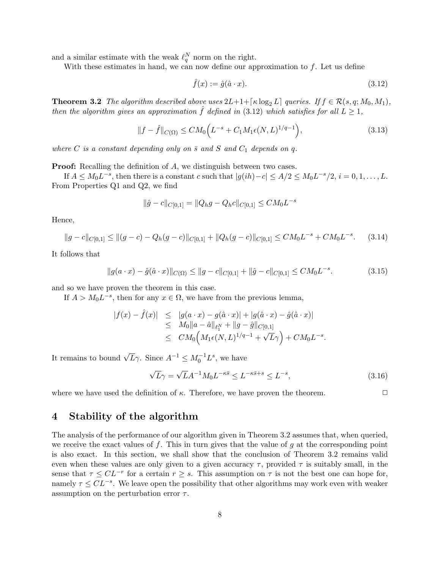and a similar estimate with the weak  $\ell_q^N$  norm on the right.

With these estimates in hand, we can now define our approximation to  $f$ . Let us define

$$
\hat{f}(x) := \hat{g}(\hat{a} \cdot x). \tag{3.12}
$$

**Theorem 3.2** The algorithm described above uses  $2L+1+\lceil \kappa \log_2 L \rceil$  queries. If  $f \in \mathcal{R}(s, q; M_0, M_1)$ , then the algorithm gives an approximation  $\hat{f}$  defined in (3.12) which satisfies for all  $L \geq 1$ ,

$$
||f - \hat{f}||_{C(\Omega)} \le CM_0 \Big( L^{-s} + C_1 M_1 \epsilon(N, L)^{1/q - 1} \Big), \tag{3.13}
$$

where C is a constant depending only on  $\bar{s}$  and S and  $C_1$  depends on q.

**Proof:** Recalling the definition of A, we distinguish between two cases.

If  $A \leq M_0 L^{-s}$ , then there is a constant c such that  $|g(ih) - c| \leq A/2 \leq M_0 L^{-s}/2$ ,  $i = 0, 1, ..., L$ . From Properties Q1 and Q2, we find

$$
\|\hat{g} - c\|_{C[0,1]} = \|Q_h g - Q_h c\|_{C[0,1]} \leq C M_0 L^{-s}
$$

Hence,

$$
||g - c||_{C[0,1]} \le ||(g - c) - Q_h(g - c)||_{C[0,1]} + ||Q_h(g - c)||_{C[0,1]} \le CM_0 L^{-s} + CM_0 L^{-s}.
$$
 (3.14)

It follows that

$$
||g(a \cdot x) - \hat{g}(\hat{a} \cdot x)||_{C(\Omega)} \le ||g - c||_{C[0,1]} + ||\hat{g} - c||_{C[0,1]} \le CM_0 L^{-s}.
$$
\n(3.15)

and so we have proven the theorem in this case.

If  $A > M_0 L^{-s}$ , then for any  $x \in \Omega$ , we have from the previous lemma,

$$
\begin{array}{rcl} |f(x)-\hat{f}(x)|&\leq&|g(a\cdot x)-g(\hat{a}\cdot x)|+|g(\hat{a}\cdot x)-\hat{g}(\hat{a}\cdot x)|\\&\leq&M_0\|a-\hat{a}\|_{\ell_1^N}+\|g-\hat{g}\|_{C[0,1] }\\&\leq&CM_0\Big(M_1\epsilon(N,L)^{1/q-1}+\sqrt{L}\gamma\Big)+CM_0L^{-s}.\end{array}
$$

It remains to bound  $\sqrt{L}\gamma$ . Since  $A^{-1} \leq M_0^{-1}L^s$ , we have

$$
\sqrt{L}\gamma = \sqrt{L}A^{-1}M_0L^{-\kappa\bar{s}} \le L^{-\kappa\bar{s}+s} \le L^{-s},\tag{3.16}
$$

where we have used the definition of  $\kappa$ . Therefore, we have proven the theorem.  $\Box$ 

## 4 Stability of the algorithm

The analysis of the performance of our algorithm given in Theorem 3.2 assumes that, when queried, we receive the exact values of f. This in turn gives that the value of g at the corresponding point is also exact. In this section, we shall show that the conclusion of Theorem 3.2 remains valid even when these values are only given to a given accuracy  $\tau$ , provided  $\tau$  is suitably small, in the sense that  $\tau \leq CL^{-r}$  for a certain  $r \geq s$ . This assumption on  $\tau$  is not the best one can hope for, namely  $\tau \leq CL^{-s}$ . We leave open the possibility that other algorithms may work even with weaker assumption on the perturbation error  $\tau$ .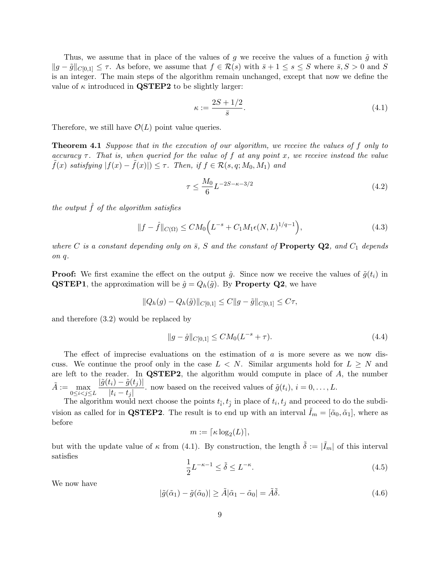Thus, we assume that in place of the values of g we receive the values of a function  $\tilde{g}$  with  $||g - \tilde{g}||_{C[0,1]} \leq \tau$ . As before, we assume that  $f \in \mathcal{R}(s)$  with  $\bar{s} + 1 \leq s \leq S$  where  $\bar{s}, S > 0$  and S is an integer. The main steps of the algorithm remain unchanged, except that now we define the value of  $\kappa$  introduced in **QSTEP2** to be slightly larger:

$$
\kappa := \frac{2S + 1/2}{\bar{s}}.\tag{4.1}
$$

Therefore, we still have  $\mathcal{O}(L)$  point value queries.

**Theorem 4.1** Suppose that in the execution of our algorithm, we receive the values of f only to accuracy  $\tau$ . That is, when queried for the value of f at any point x, we receive instead the value  $f(x)$  satisfying  $|f(x) - f(x)| \leq \tau$ . Then, if  $f \in \mathcal{R}(s, q; M_0, M_1)$  and

$$
\tau \le \frac{M_0}{6} L^{-2S - \kappa - 3/2} \tag{4.2}
$$

the output  $\hat{f}$  of the algorithm satisfies

$$
||f - \hat{f}||_{C(\Omega)} \le CM_0 \Big( L^{-s} + C_1 M_1 \epsilon(N, L)^{1/q - 1} \Big), \tag{4.3}
$$

where C is a constant depending only on  $\bar{s}$ , S and the constant of **Property Q2**, and  $C_1$  depends on q.

**Proof:** We first examine the effect on the output  $\hat{g}$ . Since now we receive the values of  $\tilde{g}(t_i)$  in **QSTEP1**, the approximation will be  $\hat{g} = Q_h(\tilde{g})$ . By **Property Q2**, we have

$$
||Q_h(g) - Q_h(\tilde{g})||_{C[0,1]} \leq C||g - \tilde{g}||_{C[0,1]} \leq C\tau,
$$

and therefore (3.2) would be replaced by

$$
||g - \hat{g}||_{C[0,1]} \le CM_0(L^{-s} + \tau). \tag{4.4}
$$

The effect of imprecise evaluations on the estimation of  $a$  is more severe as we now discuss. We continue the proof only in the case  $L < N$ . Similar arguments hold for  $L \geq N$  and are left to the reader. In  $\mathbf{QSTEP2}$ , the algorithm would compute in place of A, the number  $\tilde{A} := \max_{0 \leq i < j \leq L}$  $|\tilde{g}(t_i) - \tilde{g}(t_j)|$  $\frac{f(t) - g(c_f)}{|t_i - t_j|}$ . now based on the received values of  $\tilde{g}(t_i)$ ,  $i = 0, \ldots, L$ .

The algorithm would next choose the points  $t_{\tilde{i}}$ ,  $t_{\tilde{j}}$  in place of  $t_i$ ,  $t_j$  and proceed to do the subdivision as called for in **QSTEP2**. The result is to end up with an interval  $I_m = [\tilde{\alpha}_0, \tilde{\alpha}_1]$ , where as before

$$
m := \lceil \kappa \log_2(L) \rceil,
$$

but with the update value of  $\kappa$  from (4.1). By construction, the length  $\tilde{\delta} := |\tilde{I}_m|$  of this interval satisfies

$$
\frac{1}{2}L^{-\kappa-1} \le \tilde{\delta} \le L^{-\kappa}.\tag{4.5}
$$

We now have

$$
|\tilde{g}(\tilde{\alpha}_1) - \tilde{g}(\tilde{\alpha}_0)| \ge \tilde{A}|\tilde{\alpha}_1 - \tilde{\alpha}_0| = \tilde{A}\tilde{\delta}.
$$
\n(4.6)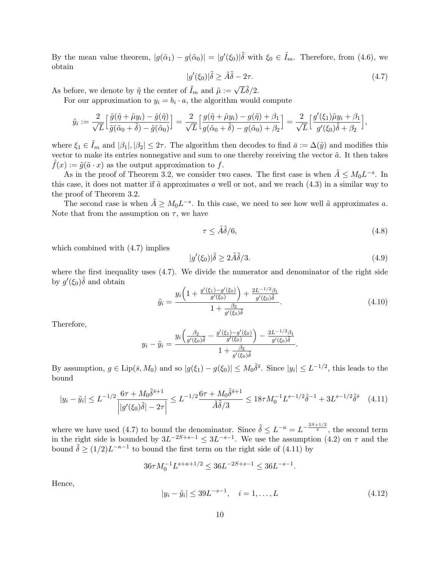By the mean value theorem,  $|g(\tilde{\alpha}_1) - g(\tilde{\alpha}_0)| = |g'(\xi_0)| \tilde{\delta}$  with  $\xi_0 \in \tilde{I}_m$ . Therefore, from (4.6), we obtain

$$
|g'(\xi_0)|\tilde{\delta} \ge \tilde{A}\tilde{\delta} - 2\tau. \tag{4.7}
$$

As before, we denote by  $\tilde{\eta}$  the center of  $\tilde{I}_m$  and  $\tilde{\mu} := \sqrt{L}\tilde{\delta}/2$ .

For our approximation to  $y_i = b_i \cdot a$ , the algorithm would compute

$$
\tilde{y}_i := \frac{2}{\sqrt{L}} \Big[ \frac{\tilde{g}(\tilde{\eta} + \tilde{\mu}y_i) - \tilde{g}(\tilde{\eta})}{\tilde{g}(\tilde{\alpha}_0 + \tilde{\delta}) - \tilde{g}(\tilde{\alpha}_0)} \Big] = \frac{2}{\sqrt{L}} \Big[ \frac{g(\tilde{\eta} + \tilde{\mu}y_i) - g(\tilde{\eta}) + \beta_1}{g(\tilde{\alpha}_0 + \tilde{\delta}) - g(\tilde{\alpha}_0) + \beta_2} \Big] = \frac{2}{\sqrt{L}} \Big[ \frac{g'(\xi_1)\tilde{\mu}y_i + \beta_1}{g'(\xi_0)\tilde{\delta} + \beta_2} \Big],
$$

where  $\xi_1 \in \tilde{I}_m$  and  $|\beta_1|, |\beta_2| \leq 2\tau$ . The algorithm then decodes to find  $\bar{a} := \Delta(\tilde{y})$  and modifies this vector to make its entries nonnegative and sum to one thereby receiving the vector  $\tilde{a}$ . It then takes  $f(x) := \tilde{g}(\tilde{a} \cdot x)$  as the output approximation to f.

As in the proof of Theorem 3.2, we consider two cases. The first case is when  $\tilde{A} \leq M_0 L^{-s}$ . In this case, it does not matter if  $\tilde{a}$  approximates a well or not, and we reach  $(4.3)$  in a similar way to the proof of Theorem 3.2.

The second case is when  $\tilde{A} \geq M_0 L^{-s}$ . In this case, we need to see how well  $\tilde{a}$  approximates a. Note that from the assumption on  $\tau$ , we have

$$
\tau \le \tilde{A}\tilde{\delta}/6,\tag{4.8}
$$

.

which combined with (4.7) implies

$$
|g'(\xi_0)|\tilde{\delta} \ge 2\tilde{A}\tilde{\delta}/3. \tag{4.9}
$$

where the first inequality uses  $(4.7)$ . We divide the numerator and denominator of the right side by  $g'(\xi_0)\tilde{\delta}$  and obtain

$$
\tilde{y}_i = \frac{y_i \left( 1 + \frac{g'(\xi_1) - g'(\xi_0)}{g'(\xi_0)} \right) + \frac{2L^{-1/2}\beta_1}{g'(\xi_0)\tilde{\delta}}}{1 + \frac{\beta_2}{g'(\xi_0)\tilde{\delta}}}.
$$
\n(4.10)

Therefore,

$$
y_i - \tilde{y}_i = \frac{y_i \left(\frac{\beta_2}{g'(\xi_0)\tilde{\delta}} - \frac{g'(\xi_1) - g'(\xi_0)}{g'(\xi_0)}\right) - \frac{2L^{-1/2}\beta_1}{g'(\xi_0)\tilde{\delta}}}{1 + \frac{\beta_2}{g'(\xi_0)\tilde{\delta}}}
$$

By assumption,  $g \in \text{Lip}(\bar{s}, M_0)$  and so  $|g(\xi_1) - g(\xi_0)| \leq M_0 \tilde{\delta}^{\bar{s}}$ . Since  $|y_i| \leq L^{-1/2}$ , this leads to the bound

$$
|y_i - \tilde{y}_i| \le L^{-1/2} \frac{6\tau + M_0 \tilde{\delta}^{\bar{s}+1}}{|g'(\xi_0)\tilde{\delta}| - 2\tau|} \le L^{-1/2} \frac{6\tau + M_0 \tilde{\delta}^{\bar{s}+1}}{\tilde{A}\tilde{\delta}/3} \le 18\tau M_0^{-1} L^{s-1/2} \tilde{\delta}^{-1} + 3L^{s-1/2} \tilde{\delta}^{\bar{s}} \quad (4.11)
$$

where we have used (4.7) to bound the denominator. Since  $\tilde{\delta} \leq L^{-\kappa} = L^{-\frac{2S+1/2}{\tilde{s}}}$ , the second term in the right side is bounded by  $3L^{-2S+s-1} \leq 3L^{-s-1}$ . We use the assumption (4.2) on  $\tau$  and the bound  $\tilde{\delta} \ge (1/2)L^{-\kappa-1}$  to bound the first term on the right side of (4.11) by

$$
36\tau M_0^{-1} L^{s+\kappa+1/2} \le 36 L^{-2S+s-1} \le 36 L^{-s-1}.
$$

Hence,

$$
|y_i - \tilde{y}_i| \le 39L^{-s-1}, \quad i = 1, \dots, L
$$
\n(4.12)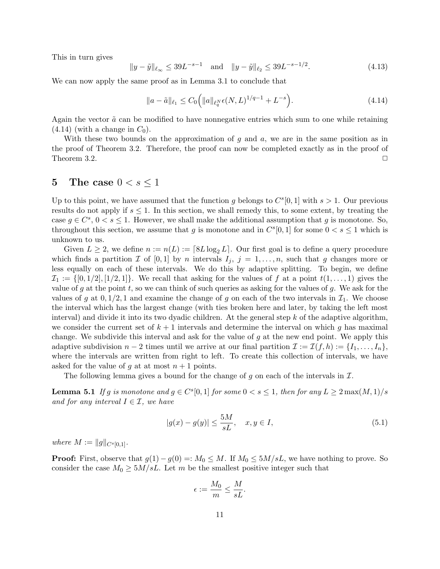This in turn gives

$$
||y - \tilde{y}||_{\ell_{\infty}} \le 39L^{-s-1} \quad \text{and} \quad ||y - \tilde{y}||_{\ell_{2}} \le 39L^{-s-1/2}.
$$
 (4.13)

We can now apply the same proof as in Lemma 3.1 to conclude that

$$
||a - \tilde{a}||_{\ell_1} \le C_0 \Big( ||a||_{\ell_q^N} \epsilon(N, L)^{1/q - 1} + L^{-s} \Big). \tag{4.14}
$$

Again the vector  $\tilde{a}$  can be modified to have nonnegative entries which sum to one while retaining  $(4.14)$  (with a change in  $C_0$ ).

With these two bounds on the approximation of  $g$  and  $a$ , we are in the same position as in the proof of Theorem 3.2. Therefore, the proof can now be completed exactly as in the proof of Theorem 3.2.  $\Box$ 

## 5 The case  $0 < s < 1$

Up to this point, we have assumed that the function g belongs to  $C<sup>s</sup>[0, 1]$  with  $s > 1$ . Our previous results do not apply if  $s \leq 1$ . In this section, we shall remedy this, to some extent, by treating the case  $g \in C^s$ ,  $0 < s \le 1$ . However, we shall make the additional assumption that g is monotone. So, throughout this section, we assume that g is monotone and in  $C<sup>s</sup>[0,1]$  for some  $0 < s \leq 1$  which is unknown to us.

Given  $L \geq 2$ , we define  $n := n(L) := \lfloor 8L \log_2 L \rfloor$ . Our first goal is to define a query procedure which finds a partition  $\mathcal I$  of  $[0,1]$  by n intervals  $I_j, j = 1, \ldots, n$ , such that g changes more or less equally on each of these intervals. We do this by adaptive splitting. To begin, we define  $\mathcal{I}_1 := \{ [0, 1/2], [1/2, 1] \}.$  We recall that asking for the values of f at a point  $t(1, \ldots, 1)$  gives the value of g at the point t, so we can think of such queries as asking for the values of g. We ask for the values of g at  $0, 1/2, 1$  and examine the change of g on each of the two intervals in  $\mathcal{I}_1$ . We choose the interval which has the largest change (with ties broken here and later, by taking the left most interval) and divide it into its two dyadic children. At the general step  $k$  of the adaptive algorithm, we consider the current set of  $k+1$  intervals and determine the interval on which g has maximal change. We subdivide this interval and ask for the value of g at the new end point. We apply this adaptive subdivision  $n-2$  times until we arrive at our final partition  $\mathcal{I} := \mathcal{I}(f, h) := \{I_1, \ldots, I_n\},\$ where the intervals are written from right to left. To create this collection of intervals, we have asked for the value of g at at most  $n+1$  points.

The following lemma gives a bound for the change of g on each of the intervals in  $\mathcal{I}$ .

**Lemma 5.1** If g is monotone and  $g \in C^{s}[0,1]$  for some  $0 < s \leq 1$ , then for any  $L \geq 2 \max(M,1)/s$ and for any interval  $I \in \mathcal{I}$ , we have

$$
|g(x) - g(y)| \le \frac{5M}{sL}, \quad x, y \in I,
$$
\n(5.1)

where  $M := ||g||_{C^{s}[0,1]}.$ 

**Proof:** First, observe that  $g(1) - g(0) =: M_0 \leq M$ . If  $M_0 \leq 5M/sL$ , we have nothing to prove. So consider the case  $M_0 \geq 5M/sL$ . Let m be the smallest positive integer such that

$$
\epsilon := \frac{M_0}{m} \le \frac{M}{sL}.
$$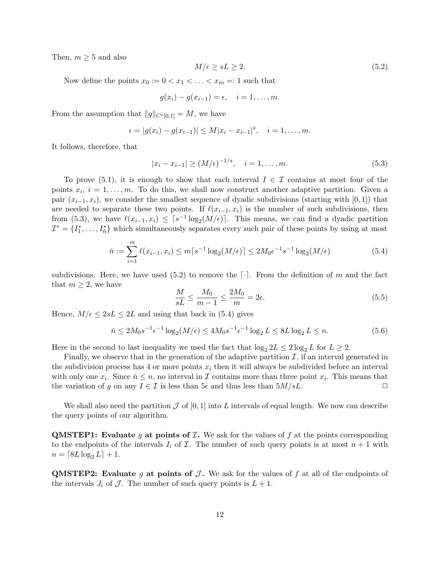Then,  $m \geq 5$  and also

$$
M/\epsilon \ge sL \ge 2. \tag{5.2}
$$

Now define the points  $x_0 := 0 < x_1 < \ldots < x_m =: 1$  such that

$$
g(x_i) - g(x_{i-1}) = \epsilon, \quad i = 1, \ldots, m.
$$

From the assumption that  $||g||_{C^{s}[0,1]} = M$ , we have

$$
\epsilon = |g(x_i) - g(x_{i-1})| \le M|x_i - x_{i-1}|^s, \quad i = 1, ..., m.
$$

It follows, therefore, that

$$
|x_i - x_{i-1}| \ge (M/\epsilon)^{-1/s}, \quad i = 1, \dots, m.
$$
 (5.3)

To prove (5.1), it is enough to show that each interval  $I \in \mathcal{I}$  contains at most four of the points  $x_i$ ,  $i = 1, \ldots, m$ . To do this, we shall now construct another adaptive partition. Given a pair  $(x_{i-1}, x_i)$ , we consider the smallest sequence of dyadic subdivisions (starting with [0, 1]) that are needed to separate these two points. If  $\ell(x_{i-1}, x_i)$  is the number of such subdivisions, then from (5.3), we have  $\ell(x_{i-1}, x_i) \leq \lceil s^{-1} \log_2(M/\epsilon) \rceil$ . This means, we can find a dyadic partition  $\mathcal{I}^* = \{I_1^*, \ldots, I_{\bar{n}}^*\}$  which simultaneously separates every such pair of these points by using at most

$$
\bar{n} := \sum_{i=1}^{m} \ell(x_{i-1}, x_i) \le m\lceil s^{-1} \log_2(M/\epsilon) \rceil \le 2M_0 \epsilon^{-1} s^{-1} \log_2(M/\epsilon)
$$
\n(5.4)

subdivisions. Here, we have used  $(5.2)$  to remove the  $\lceil \cdot \rceil$ . From the definition of m and the fact that  $m \geq 2$ , we have

$$
\frac{M}{sL} \le \frac{M_0}{m-1} \le \frac{2M_0}{m} = 2\epsilon.
$$
\n(5.5)

Hence,  $M/\epsilon \leq 2sL \leq 2L$  and using that back in (5.4) gives

$$
\bar{n} \le 2M_0 s^{-1} \epsilon^{-1} \log_2(M/\epsilon) \le 4M_0 s^{-1} \epsilon^{-1} \log_2 L \le 8L \log_2 L \le n. \tag{5.6}
$$

Here in the second to last inequality we used the fact that  $\log_2 2L \leq 2 \log_2 L$  for  $L \geq 2$ .

Finally, we observe that in the generation of the adaptive partition  $\mathcal{I}$ , if an interval generated in the subdivision process has 4 or more points  $x_i$  then it will always be subdivided before an interval with only one  $x_i$ . Since  $\bar{n} \leq n$ , no interval in  $\mathcal I$  contains more than three point  $x_i$ . This means that the variation of g on any  $I \in \mathcal{I}$  is less than 5 $\epsilon$  and thus less than 5 $M/sL$ .

We shall also need the partition  $\mathcal J$  of [0, 1] into L intervals of equal length. We now can describe the query points of our algorithm.

**QMSTEP1:** Evaluate g at points of  $I$ . We ask for the values of f at the points corresponding to the endpoints of the intervals  $I_i$  of  $\mathcal I$ . The number of such query points is at most  $n+1$  with  $n = [8L \log_2 L] + 1.$ 

**QMSTEP2:** Evaluate g at points of  $\mathcal{J}$ . We ask for the values of f at all of the endpoints of the intervals  $J_i$  of  $\mathcal J$ . The number of such query points is  $L + 1$ .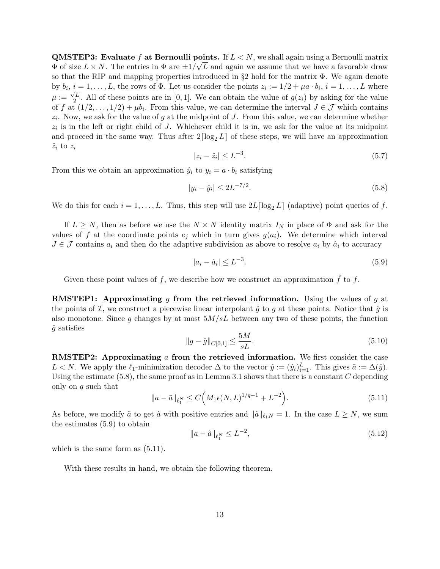**QMSTEP3:** Evaluate f at Bernoulli points. If  $L < N$ , we shall again using a Bernoulli matrix  $\Phi$  of size  $L \times N$ . The entries in  $\Phi$  are  $\pm 1/\sqrt{L}$  and again we assume that we have a favorable draw so that the RIP and mapping properties introduced in §2 hold for the matrix Φ. We again denote by  $b_i$ ,  $i = 1, \ldots, L$ , the rows of  $\Phi$ . Let us consider the points  $z_i := 1/2 + \mu a \cdot b_i$ ,  $i = 1, \ldots, L$  where  $\mu := \frac{\sqrt{L}}{2}$  $\frac{2}{2}$ . All of these points are in [0, 1]. We can obtain the value of  $g(z_i)$  by asking for the value of f at  $(1/2,\ldots,1/2)+\mu b_i$ . From this value, we can determine the interval  $J \in \mathcal{J}$  which contains  $z_i$ . Now, we ask for the value of g at the midpoint of J. From this value, we can determine whether  $z_i$  is in the left or right child of J. Whichever child it is in, we ask for the value at its midpoint and proceed in the same way. Thus after  $2\lceil \log_2 L \rceil$  of these steps, we will have an approximation  $\hat{z}_i$  to  $z_i$ 

$$
|z_i - \hat{z}_i| \le L^{-3}.\tag{5.7}
$$

From this we obtain an approximation  $\hat{y}_i$  to  $y_i = a \cdot b_i$  satisfying

$$
|y_i - \hat{y}_i| \le 2L^{-7/2}.\tag{5.8}
$$

We do this for each  $i = 1, \ldots, L$ . Thus, this step will use  $2L \lceil \log_2 L \rceil$  (adaptive) point queries of f.

If  $L \geq N$ , then as before we use the  $N \times N$  identity matrix  $I_N$  in place of  $\Phi$  and ask for the values of f at the coordinate points  $e_i$  which in turn gives  $g(a_i)$ . We determine which interval  $J \in \mathcal{J}$  contains  $a_i$  and then do the adaptive subdivision as above to resolve  $a_i$  by  $\hat{a}_i$  to accuracy

$$
|a_i - \hat{a}_i| \le L^{-3}.\tag{5.9}
$$

Given these point values of f, we describe how we construct an approximation  $\hat{f}$  to f.

**RMSTEP1:** Approximating g from the retrieved information. Using the values of g at the points of I, we construct a piecewise linear interpolant  $\hat{g}$  to g at these points. Notice that  $\hat{g}$  is also monotone. Since g changes by at most  $5M/sL$  between any two of these points, the function  $\hat{g}$  satisfies

$$
||g - \hat{g}||_{C[0,1]} \le \frac{5M}{sL}.\tag{5.10}
$$

**RMSTEP2:** Approximating a from the retrieved information. We first consider the case L < N. We apply the  $\ell_1$ -minimization decoder  $\Delta$  to the vector  $\hat{y} := (\hat{y}_i)_{i=1}^L$ . This gives  $\tilde{a} := \Delta(\hat{y})$ . Using the estimate  $(5.8)$ , the same proof as in Lemma 3.1 shows that there is a constant C depending only on  $q$  such that

$$
||a - \tilde{a}||_{\ell_1^N} \le C\Big(M_1\epsilon(N,L)^{1/q-1} + L^{-2}\Big). \tag{5.11}
$$

As before, we modify  $\tilde{a}$  to get  $\hat{a}$  with positive entries and  $\|\hat{a}\|_{\ell_1N} = 1$ . In the case  $L \geq N$ , we sum the estimates (5.9) to obtain

$$
||a - \hat{a}||_{\ell_1^N} \le L^{-2}, \tag{5.12}
$$

which is the same form as  $(5.11)$ .

With these results in hand, we obtain the following theorem.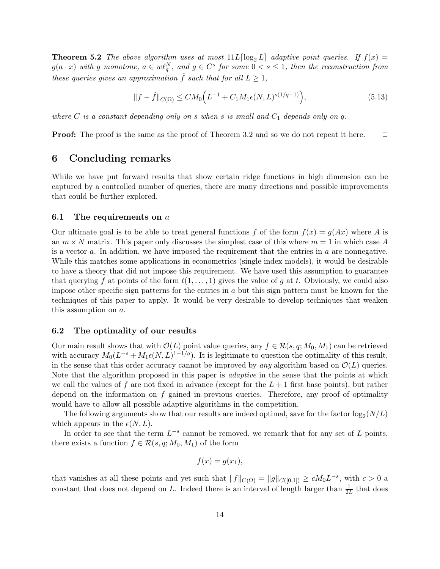**Theorem 5.2** The above algorithm uses at most  $11L \log_2 L$  adaptive point queries. If  $f(x) =$  $g(a \cdot x)$  with g monotone,  $a \in w\ell_q^N$ , and  $g \in C^s$  for some  $0 < s \leq 1$ , then the reconstruction from these queries gives an approximation  $\hat{f}$  such that for all  $L \geq 1$ ,

$$
||f - \hat{f}||_{C(\Omega)} \le CM_0 \Big( L^{-1} + C_1 M_1 \epsilon(N, L)^{s(1/q - 1)} \Big), \tag{5.13}
$$

where  $C$  is a constant depending only on s when s is small and  $C_1$  depends only on  $q$ .

**Proof:** The proof is the same as the proof of Theorem 3.2 and so we do not repeat it here.  $\Box$ 

#### 6 Concluding remarks

While we have put forward results that show certain ridge functions in high dimension can be captured by a controlled number of queries, there are many directions and possible improvements that could be further explored.

#### 6.1 The requirements on  $a$

Our ultimate goal is to be able to treat general functions f of the form  $f(x) = g(Ax)$  where A is an  $m \times N$  matrix. This paper only discusses the simplest case of this where  $m = 1$  in which case A is a vector  $a$ . In addition, we have imposed the requirement that the entries in  $a$  are nonnegative. While this matches some applications in econometrics (single index models), it would be desirable to have a theory that did not impose this requirement. We have used this assumption to guarantee that querying f at points of the form  $t(1,\ldots,1)$  gives the value of g at t. Obviously, we could also impose other specific sign patterns for the entries in  $a$  but this sign pattern must be known for the techniques of this paper to apply. It would be very desirable to develop techniques that weaken this assumption on a.

#### 6.2 The optimality of our results

Our main result shows that with  $\mathcal{O}(L)$  point value queries, any  $f \in \mathcal{R}(s, q; M_0, M_1)$  can be retrieved with accuracy  $M_0(L^{-s} + M_1 \epsilon(N,L)^{1-1/q})$ . It is legitimate to question the optimality of this result, in the sense that this order accuracy cannot be improved by any algorithm based on  $\mathcal{O}(L)$  queries. Note that the algorithm proposed in this paper is *adaptive* in the sense that the points at which we call the values of f are not fixed in advance (except for the  $L+1$  first base points), but rather depend on the information on f gained in previous queries. Therefore, any proof of optimality would have to allow all possible adaptive algorithms in the competition.

The following arguments show that our results are indeed optimal, save for the factor  $\log_2(N/L)$ which appears in the  $\epsilon(N, L)$ .

In order to see that the term  $L^{-s}$  cannot be removed, we remark that for any set of L points, there exists a function  $f \in \mathcal{R}(s, q; M_0, M_1)$  of the form

$$
f(x) = g(x_1),
$$

that vanishes at all these points and yet such that  $||f||_{C(\Omega)} = ||g||_{C([0,1])} \ge cM_0L^{-s}$ , with  $c > 0$  a constant that does not depend on L. Indeed there is an interval of length larger than  $\frac{1}{2L}$  that does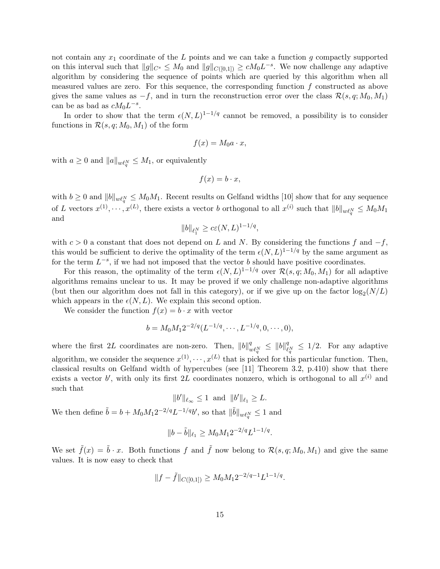not contain any  $x_1$  coordinate of the L points and we can take a function g compactly supported on this interval such that  $||g||_{C^s} \leq M_0$  and  $||g||_{C([0,1])} \geq cM_0L^{-s}$ . We now challenge any adaptive algorithm by considering the sequence of points which are queried by this algorithm when all measured values are zero. For this sequence, the corresponding function  $f$  constructed as above gives the same values as  $-f$ , and in turn the reconstruction error over the class  $\mathcal{R}(s, q; M_0, M_1)$ can be as bad as  $cM_0L^{-s}$ .

In order to show that the term  $\epsilon(N, L)^{1-1/q}$  cannot be removed, a possibility is to consider functions in  $\mathcal{R}(s, q; M_0, M_1)$  of the form

$$
f(x) = M_0 a \cdot x,
$$

with  $a \geq 0$  and  $||a||_{w\ell_q^N} \leq M_1$ , or equivalently

$$
f(x) = b \cdot x,
$$

with  $b \geq 0$  and  $||b||_{w\ell_q^N} \leq M_0M_1$ . Recent results on Gelfand widths [10] show that for any sequence of L vectors  $x^{(1)}, \dots, x^{(L)}$ , there exists a vector b orthogonal to all  $x^{(i)}$  such that  $||b||_{w\ell_q^N} \leq M_0M_1$ and

$$
||b||_{\ell_1^N} \ge c\varepsilon(N,L)^{1-1/q},
$$

with  $c > 0$  a constant that does not depend on L and N. By considering the functions f and  $-f$ , this would be sufficient to derive the optimality of the term  $\epsilon(N, L)^{1-1/q}$  by the same argument as for the term  $L^{-s}$ , if we had not imposed that the vector b should have positive coordinates.

For this reason, the optimality of the term  $\epsilon(N, L)^{1-1/q}$  over  $\mathcal{R}(s, q; M_0, M_1)$  for all adaptive algorithms remains unclear to us. It may be proved if we only challenge non-adaptive algorithms (but then our algorithm does not fall in this category), or if we give up on the factor  $\log_2(N/L)$ which appears in the  $\epsilon(N, L)$ . We explain this second option.

We consider the function  $f(x) = b \cdot x$  with vector

$$
b = M_0 M_1 2^{-2/q} (L^{-1/q}, \cdots, L^{-1/q}, 0, \cdots, 0),
$$

where the first 2L coordinates are non-zero. Then,  $||b||_d^q$  $\frac{q}{w\ell_q^N} \leq \|b\|_{\ell}^q$  $\frac{q}{\ell_q^N} \leq 1/2$ . For any adaptive algorithm, we consider the sequence  $x^{(1)}, \dots, x^{(L)}$  that is picked for this particular function. Then, classical results on Gelfand width of hypercubes (see [11] Theorem 3.2, p.410) show that there exists a vector b', with only its first 2L coordinates nonzero, which is orthogonal to all  $x^{(i)}$  and such that

$$
||b'||_{\ell_{\infty}} \leq 1
$$
 and  $||b'||_{\ell_1} \geq L$ .

We then define  $\tilde{b} = b + M_0 M_1 2^{-2/q} L^{-1/q} b'$ , so that  $\|\tilde{b}\|_{w\ell_q^N} \le 1$  and

$$
||b - \tilde{b}||_{\ell_1} \ge M_0 M_1 2^{-2/q} L^{1-1/q}.
$$

We set  $\tilde{f}(x) = \tilde{b} \cdot x$ . Both functions f and  $\tilde{f}$  now belong to  $\mathcal{R}(s, q; M_0, M_1)$  and give the same values. It is now easy to check that

$$
||f - \tilde{f}||_{C([0,1])} \ge M_0 M_1 2^{-2/q-1} L^{1-1/q}.
$$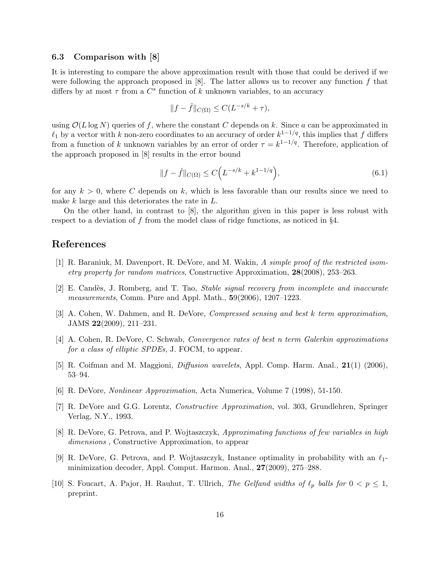#### 6.3 Comparison with [8]

It is interesting to compare the above approximation result with those that could be derived if we were following the approach proposed in  $[8]$ . The latter allows us to recover any function f that differs by at most  $\tau$  from a  $C^s$  function of k unknown variables, to an accuracy

$$
||f - \hat{f}||_{C(\Omega)} \le C(L^{-s/k} + \tau),
$$

using  $\mathcal{O}(L \log N)$  queries of f, where the constant C depends on k. Since a can be approximated in  $\ell_1$  by a vector with k non-zero coordinates to an accuracy of order  $k^{1-1/q}$ , this implies that f differs from a function of k unknown variables by an error of order  $\tau = k^{1-1/q}$ . Therefore, application of the approach proposed in [8] results in the error bound

$$
||f - \hat{f}||_{C(\Omega)} \le C\Big(L^{-s/k} + k^{1-1/q}\Big),\tag{6.1}
$$

for any  $k > 0$ , where C depends on k, which is less favorable than our results since we need to make  $k$  large and this deteriorates the rate in  $L$ .

On the other hand, in contrast to [8], the algorithm given in this paper is less robust with respect to a deviation of  $f$  from the model class of ridge functions, as noticed in  $\S4$ .

#### References

- [1] R. Baraniuk, M. Davenport, R. DeVore, and M. Wakin, A simple proof of the restricted isometry property for random matrices, Constructive Approximation, 28(2008), 253–263.
- [2] E. Candès, J. Romberg, and T. Tao, *Stable signal recovery from incomplete and inaccurate* measurements, Comm. Pure and Appl. Math., 59(2006), 1207–1223.
- [3] A. Cohen, W. Dahmen, and R. DeVore, Compressed sensing and best k term approximation, JAMS 22(2009), 211–231.
- [4] A. Cohen, R. DeVore, C. Schwab, Convergence rates of best n term Galerkin approximations for a class of elliptic SPDEs, J. FOCM, to appear.
- [5] R. Coifman and M. Maggioni, Diffusion wavelets, Appl. Comp. Harm. Anal., 21(1) (2006), 53–94.
- [6] R. DeVore, Nonlinear Approximation, Acta Numerica, Volume 7 (1998), 51-150.
- [7] R. DeVore and G.G. Lorentz, Constructive Approximation, vol. 303, Grundlehren, Springer Verlag, N.Y., 1993.
- [8] R. DeVore, G. Petrova, and P. Wojtaszczyk, Approximating functions of few variables in high dimensions , Constructive Approximation, to appear
- [9] R. DeVore, G. Petrova, and P. Wojtaszczyk, Instance optimality in probability with an  $\ell_1$ minimization decoder, Appl. Comput. Harmon. Anal., 27(2009), 275–288.
- [10] S. Foucart, A. Pajor, H. Rauhut, T. Ullrich, The Gelfand widths of  $\ell_p$  balls for  $0 < p \le 1$ , preprint.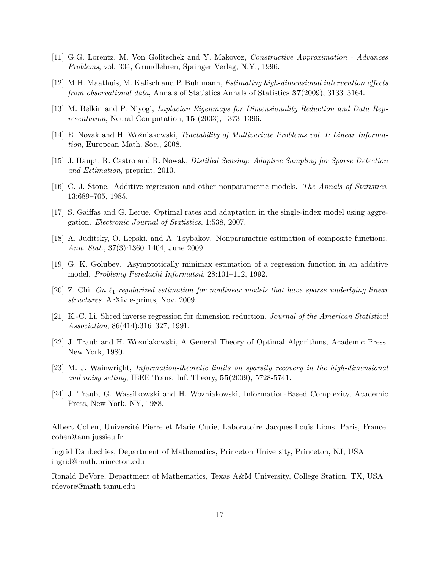- [11] G.G. Lorentz, M. Von Golitschek and Y. Makovoz, Constructive Approximation Advances Problems, vol. 304, Grundlehren, Springer Verlag, N.Y., 1996.
- [12] M.H. Maathuis, M. Kalisch and P. Buhlmann, Estimating high-dimensional intervention effects from observational data, Annals of Statistics Annals of Statistics 37(2009), 3133–3164.
- [13] M. Belkin and P. Niyogi, *Laplacian Eigenmaps for Dimensionality Reduction and Data Rep*resentation, Neural Computation, 15 (2003), 1373–1396.
- [14] E. Novak and H. Woźniakowski, Tractability of Multivariate Problems vol. I: Linear Information, European Math. Soc., 2008.
- [15] J. Haupt, R. Castro and R. Nowak, Distilled Sensing: Adaptive Sampling for Sparse Detection and Estimation, preprint, 2010.
- [16] C. J. Stone. Additive regression and other nonparametric models. The Annals of Statistics, 13:689–705, 1985.
- [17] S. Gaiffas and G. Lecue. Optimal rates and adaptation in the single-index model using aggregation. Electronic Journal of Statistics, 1:538, 2007.
- [18] A. Juditsky, O. Lepski, and A. Tsybakov. Nonparametric estimation of composite functions. Ann. Stat., 37(3):1360–1404, June 2009.
- [19] G. K. Golubev. Asymptotically minimax estimation of a regression function in an additive model. Problemy Peredachi Informatsii, 28:101–112, 1992.
- [20] Z. Chi. On  $\ell_1$ -regularized estimation for nonlinear models that have sparse underlying linear structures. ArXiv e-prints, Nov. 2009.
- [21] K.-C. Li. Sliced inverse regression for dimension reduction. Journal of the American Statistical Association, 86(414):316–327, 1991.
- [22] J. Traub and H. Wozniakowski, A General Theory of Optimal Algorithms, Academic Press, New York, 1980.
- [23] M. J. Wainwright, Information-theoretic limits on sparsity recovery in the high-dimensional and noisy setting, IEEE Trans. Inf. Theory, 55(2009), 5728-5741.
- [24] J. Traub, G. Wassilkowski and H. Wozniakowski, Information-Based Complexity, Academic Press, New York, NY, 1988.

Albert Cohen, Universit´e Pierre et Marie Curie, Laboratoire Jacques-Louis Lions, Paris, France, cohen@ann.jussieu.fr

Ingrid Daubechies, Department of Mathematics, Princeton University, Princeton, NJ, USA ingrid@math.princeton.edu

Ronald DeVore, Department of Mathematics, Texas A&M University, College Station, TX, USA rdevore@math.tamu.edu